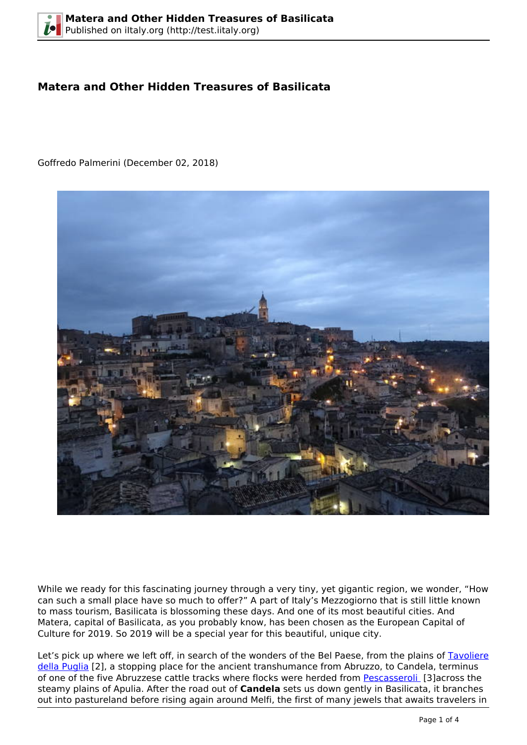# **Matera and Other Hidden Treasures of Basilicata**

Goffredo Palmerini (December 02, 2018)



While we ready for this fascinating journey through a very tiny, yet gigantic region, we wonder, "How can such a small place have so much to offer?" A part of Italy's Mezzogiorno that is still little known to mass tourism, Basilicata is blossoming these days. And one of its most beautiful cities. And Matera, capital of Basilicata, as you probably know, has been chosen as the European Capital of Culture for 2019. So 2019 will be a special year for this beautiful, unique city.

Let's pick up where we left off, in search of the wonders of the Bel Paese, from the plains of [Tavoliere](https://en.wikipedia.org/wiki/Tavoliere_delle_Puglie) [della Puglia](https://en.wikipedia.org/wiki/Tavoliere_delle_Puglie) [2], a stopping place for the ancient transhumance from Abruzzo, to Candela, terminus of one of the five Abruzzese cattle tracks where flocks were herded from [Pescasseroli](https://en.wikipedia.org/wiki/Pescasseroli) [3]across the steamy plains of Apulia. After the road out of **Candela** sets us down gently in Basilicata, it branches out into pastureland before rising again around Melfi, the first of many jewels that awaits travelers in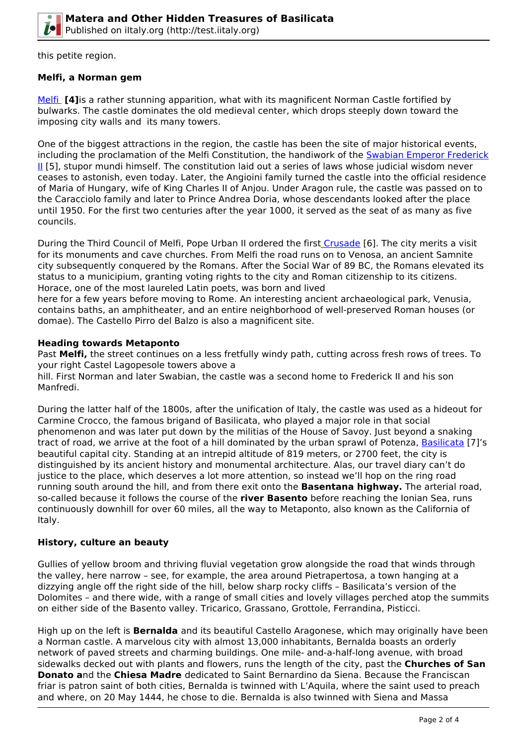

this petite region.

## **Melfi, a Norman gem**

[Melfi](https://en.wikipedia.org/wiki/Melfi) **[4]**is a rather stunning apparition, what with its magnificent Norman Castle fortified by bulwarks. The castle dominates the old medieval center, which drops steeply down toward the imposing city walls and its many towers.

One of the biggest attractions in the region, the castle has been the site of major historical events, including the proclamation of the Melfi Constitution, the handiwork of the [Swabian Emperor Frederick](https://en.wikipedia.org/wiki/Frederick_II,_Duke_of_Swabia) [II](https://en.wikipedia.org/wiki/Frederick_II,_Duke_of_Swabia) [5], stupor mundi himself. The constitution laid out a series of laws whose judicial wisdom never ceases to astonish, even today. Later, the Angioini family turned the castle into the official residence of Maria of Hungary, wife of King Charles II of Anjou. Under Aragon rule, the castle was passed on to the Caracciolo family and later to Prince Andrea Doria, whose descendants looked after the place until 1950. For the first two centuries after the year 1000, it served as the seat of as many as five councils.

During the Third Council of Melfi, Pope Urban II ordered the first [Crusade](https://en.wikipedia.org/wiki/Crusades) [6]. The city merits a visit for its monuments and cave churches. From Melfi the road runs on to Venosa, an ancient Samnite city subsequently conquered by the Romans. After the Social War of 89 BC, the Romans elevated its status to a municipium, granting voting rights to the city and Roman citizenship to its citizens. Horace, one of the most laureled Latin poets, was born and lived

here for a few years before moving to Rome. An interesting ancient archaeological park, Venusia, contains baths, an amphitheater, and an entire neighborhood of well-preserved Roman houses (or domae). The Castello Pirro del Balzo is also a magnificent site.

#### **Heading towards Metaponto**

Past **Melfi,** the street continues on a less fretfully windy path, cutting across fresh rows of trees. To your right Castel Lagopesole towers above a

hill. First Norman and later Swabian, the castle was a second home to Frederick II and his son Manfredi.

During the latter half of the 1800s, after the unification of Italy, the castle was used as a hideout for Carmine Crocco, the famous brigand of Basilicata, who played a major role in that social phenomenon and was later put down by the militias of the House of Savoy. Just beyond a snaking tract of road, we arrive at the foot of a hill dominated by the urban sprawl of Potenza, [Basilicata](https://en.wikipedia.org/wiki/Basilicata) [7]'s beautiful capital city. Standing at an intrepid altitude of 819 meters, or 2700 feet, the city is distinguished by its ancient history and monumental architecture. Alas, our travel diary can't do justice to the place, which deserves a lot more attention, so instead we'll hop on the ring road running south around the hill, and from there exit onto the **Basentana highway.** The arterial road, so-called because it follows the course of the **river Basento** before reaching the Ionian Sea, runs continuously downhill for over 60 miles, all the way to Metaponto, also known as the California of Italy.

## **History, culture an beauty**

Gullies of yellow broom and thriving fluvial vegetation grow alongside the road that winds through the valley, here narrow – see, for example, the area around Pietrapertosa, a town hanging at a dizzying angle off the right side of the hill, below sharp rocky cliffs – Basilicata's version of the Dolomites – and there wide, with a range of small cities and lovely villages perched atop the summits on either side of the Basento valley. Tricarico, Grassano, Grottole, Ferrandina, Pisticci.

High up on the left is **Bernalda** and its beautiful Castello Aragonese, which may originally have been a Norman castle. A marvelous city with almost 13,000 inhabitants, Bernalda boasts an orderly network of paved streets and charming buildings. One mile- and-a-half-long avenue, with broad sidewalks decked out with plants and flowers, runs the length of the city, past the **Churches of San Donato a**nd the **Chiesa Madre** dedicated to Saint Bernardino da Siena. Because the Franciscan friar is patron saint of both cities, Bernalda is twinned with L'Aquila, where the saint used to preach and where, on 20 May 1444, he chose to die. Bernalda is also twinned with Siena and Massa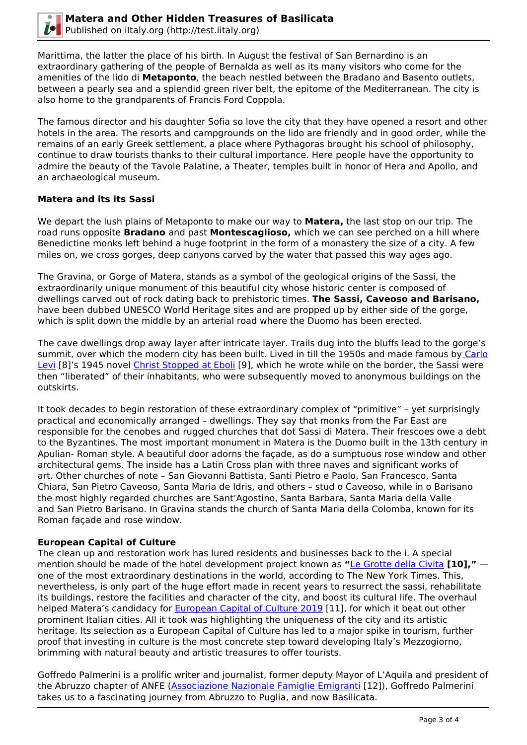

Marittima, the latter the place of his birth. In August the festival of San Bernardino is an extraordinary gathering of the people of Bernalda as well as its many visitors who come for the amenities of the lido di **Metaponto**, the beach nestled between the Bradano and Basento outlets, between a pearly sea and a splendid green river belt, the epitome of the Mediterranean. The city is also home to the grandparents of Francis Ford Coppola.

The famous director and his daughter Sofia so love the city that they have opened a resort and other hotels in the area. The resorts and campgrounds on the lido are friendly and in good order, while the remains of an early Greek settlement, a place where Pythagoras brought his school of philosophy, continue to draw tourists thanks to their cultural importance. Here people have the opportunity to admire the beauty of the Tavole Palatine, a Theater, temples built in honor of Hera and Apollo, and an archaeological museum.

#### **Matera and its its Sassi**

We depart the lush plains of Metaponto to make our way to **Matera,** the last stop on our trip. The road runs opposite **Bradano** and past **Montescaglioso,** which we can see perched on a hill where Benedictine monks left behind a huge footprint in the form of a monastery the size of a city. A few miles on, we cross gorges, deep canyons carved by the water that passed this way ages ago.

The Gravina, or Gorge of Matera, stands as a symbol of the geological origins of the Sassi, the extraordinarily unique monument of this beautiful city whose historic center is composed of dwellings carved out of rock dating back to prehistoric times. **The Sassi, Caveoso and Barisano,** have been dubbed UNESCO World Heritage sites and are propped up by either side of the gorge, which is split down the middle by an arterial road where the Duomo has been erected.

The cave dwellings drop away layer after intricate layer. Trails dug into the bluffs lead to the gorge's summit, over which the modern city has been built. Lived in till the 1950s and made famous b[y Carlo](https://en.wikipedia.org/wiki/Carlo_Levi) [Levi](https://en.wikipedia.org/wiki/Carlo_Levi) [8]'s 1945 novel [Christ Stopped at Eboli](https://en.wikipedia.org/wiki/Christ_Stopped_at_Eboli) [9], which he wrote while on the border, the Sassi were then "liberated" of their inhabitants, who were subsequently moved to anonymous buildings on the outskirts.

It took decades to begin restoration of these extraordinary complex of "primitive" – yet surprisingly practical and economically arranged – dwellings. They say that monks from the Far East are responsible for the cenobes and rugged churches that dot Sassi di Matera. Their frescoes owe a debt to the Byzantines. The most important monument in Matera is the Duomo built in the 13th century in Apulian- Roman style. A beautiful door adorns the façade, as do a sumptuous rose window and other architectural gems. The inside has a Latin Cross plan with three naves and significant works of art. Other churches of note – San Giovanni Battista, Santi Pietro e Paolo, San Francesco, Santa Chiara, San Pietro Caveoso, Santa Maria de Idris, and others – stud o Caveoso, while in o Barisano the most highly regarded churches are Sant'Agostino, Santa Barbara, Santa Maria della Valle and San Pietro Barisano. In Gravina stands the church of Santa Maria della Colomba, known for its Roman façade and rose window.

## **European Capital of Culture**

The clean up and restoration work has lured residents and businesses back to the i. A special mention should be made of the hotel development project known as **"**[Le Grotte della Civita](http://legrottedellacivita.sextantio.it/en/) **[10],"** one of the most extraordinary destinations in the world, according to The New York Times. This, nevertheless, is only part of the huge effort made in recent years to resurrect the sassi, rehabilitate its buildings, restore the facilities and character of the city, and boost its cultural life. The overhaul helped Matera's candidacy for [European Capital of Culture 2019](https://ec.europa.eu/programmes/creative-europe/actions/capitals-culture_en) [11], for which it beat out other prominent Italian cities. All it took was highlighting the uniqueness of the city and its artistic heritage. Its selection as a European Capital of Culture has led to a major spike in tourism, further proof that investing in culture is the most concrete step toward developing Italy's Mezzogiorno, brimming with natural beauty and artistic treasures to offer tourists.

Goffredo Palmerini is a prolific writer and journalist, former deputy Mayor of L'Aquila and president of the Abruzzo chapter of ANFE ([Associazione Nazionale Famiglie Emigranti](http://italia.anfe.it/cms/) [12]), Goffredo Palmerini takes us to a fascinating journey from Abruzzo to Puglia, and now Basilicata.